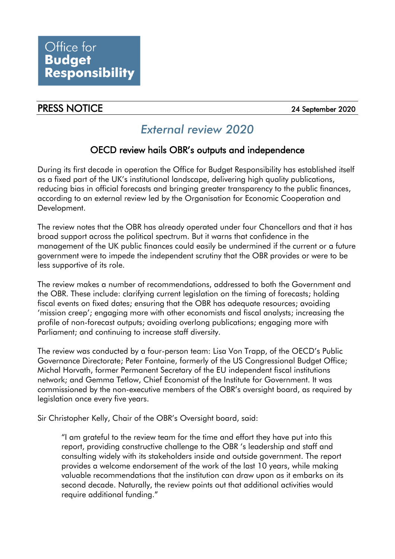## PRESS NOTICE 2020

## *External review 2020*

## OECD review hails OBR's outputs and independence

 During its first decade in operation the Office for Budget Responsibility has established itself as a fixed part of the UK's institutional landscape, delivering high quality publications, reducing bias in official forecasts and bringing greater transparency to the public finances, according to an external review led by the Organisation for Economic Cooperation and Development.

 The review notes that the OBR has already operated under four Chancellors and that it has broad support across the political spectrum. But it warns that confidence in the management of the UK public finances could easily be undermined if the current or a future government were to impede the independent scrutiny that the OBR provides or were to be less supportive of its role.

 The review makes a number of recommendations, addressed to both the Government and the OBR. These include: clarifying current legislation on the timing of forecasts; holding fiscal events on fixed dates; ensuring that the OBR has adequate resources; avoiding 'mission creep'; engaging more with other economists and fiscal analysts; increasing the profile of non-forecast outputs; avoiding overlong publications; engaging more with Parliament; and continuing to increase staff diversity.

 The review was conducted by a four-person team: Lisa Von Trapp, of the OECD's Public Governance Directorate; Peter Fontaine, formerly of the US Congressional Budget Office; Michal Horvath, former Permanent Secretary of the EU independent fiscal institutions network; and Gemma Tetlow, Chief Economist of the Institute for Government. It was commissioned by the non-executive members of the OBR's oversight board, as required by legislation once every five years.

Sir Christopher Kelly, Chair of the OBR's Oversight board, said:

 "I am grateful to the review team for the time and effort they have put into this report, providing constructive challenge to the OBR 's leadership and staff and consulting widely with its stakeholders inside and outside government. The report provides a welcome endorsement of the work of the last 10 years, while making valuable recommendations that the institution can draw upon as it embarks on its second decade. Naturally, the review points out that additional activities would require additional funding."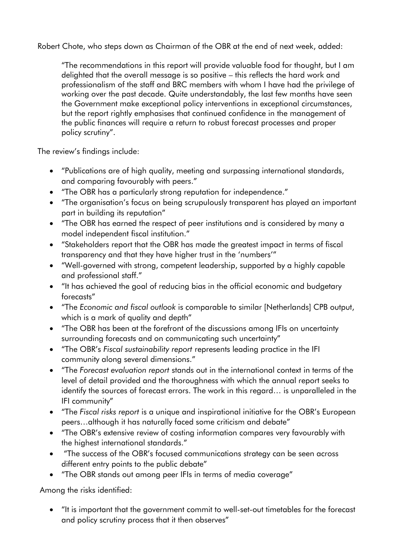Robert Chote, who steps down as Chairman of the OBR at the end of next week, added:

 "The recommendations in this report will provide valuable food for thought, but I am delighted that the overall message is so positive – this reflects the hard work and professionalism of the staff and BRC members with whom I have had the privilege of working over the past decade. Quite understandably, the last few months have seen the Government make exceptional policy interventions in exceptional circumstances, but the report rightly emphasises that continued confidence in the management of the public finances will require a return to robust forecast processes and proper policy scrutiny".

The review's findings include:

- • "Publications are of high quality, meeting and surpassing international standards, and comparing favourably with peers."
- "The OBR has a particularly strong reputation for independence."
- • "The organisation's focus on being scrupulously transparent has played an important part in building its reputation"
- • "The OBR has earned the respect of peer institutions and is considered by many a model independent fiscal institution."
- • "Stakeholders report that the OBR has made the greatest impact in terms of fiscal transparency and that they have higher trust in the 'numbers'"
- • "Well-governed with strong, competent leadership, supported by a highly capable and professional staff."
- • "It has achieved the goal of reducing bias in the official economic and budgetary forecasts"
- which is a mark of quality and depth" • "The *Economic and fiscal outlook* is comparable to similar [Netherlands] CPB output,
- • "The OBR has been at the forefront of the discussions among IFIs on uncertainty surrounding forecasts and on communicating such uncertainty"
- • "The OBR's *Fiscal sustainability report* represents leading practice in the IFI community along several dimensions."
- • "The *Forecast evaluation report* stands out in the international context in terms of the level of detail provided and the thoroughness with which the annual report seeks to identify the sources of forecast errors. The work in this regard… is unparalleled in the IFI community"
- • "The *Fiscal risks report* is a unique and inspirational initiative for the OBR's European peers…although it has naturally faced some criticism and debate"
- • "The OBR's extensive review of costing information compares very favourably with the highest international standards."
- • "The success of the OBR's focused communications strategy can be seen across different entry points to the public debate"
- "The OBR stands out among peer IFIs in terms of media coverage"

Among the risks identified:

 • "It is important that the government commit to well-set-out timetables for the forecast and policy scrutiny process that it then observes"